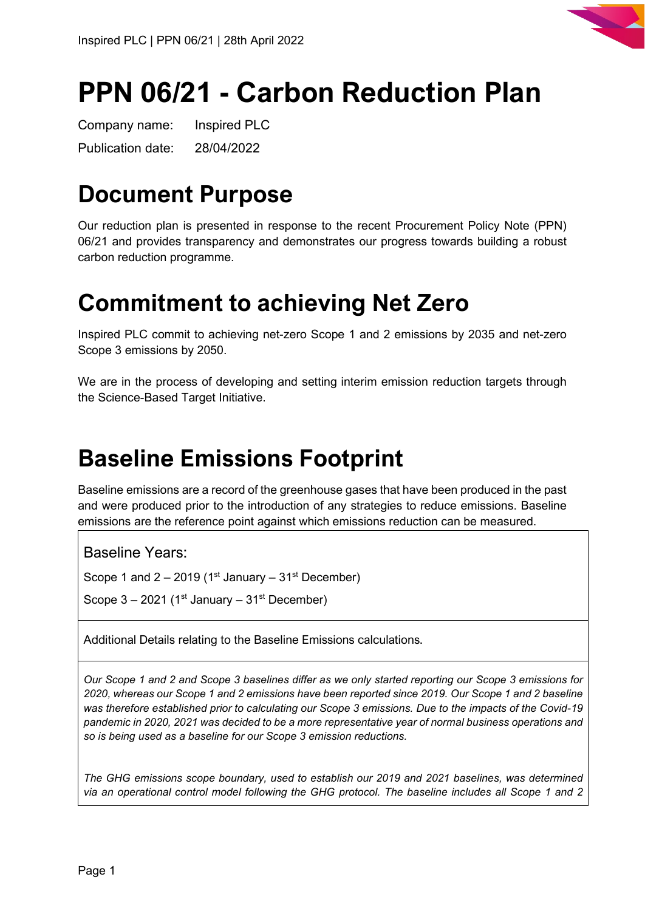

# **PPN 06/21 - Carbon Reduction Plan**

Company name: Inspired PLC Publication date: 28/04/2022

## **Document Purpose**

Our reduction plan is presented in response to the recent Procurement Policy Note (PPN) 06/21 and provides transparency and demonstrates our progress towards building a robust carbon reduction programme.

## **Commitment to achieving Net Zero**

Inspired PLC commit to achieving net-zero Scope 1 and 2 emissions by 2035 and net-zero Scope 3 emissions by 2050.

We are in the process of developing and setting interim emission reduction targets through the Science-Based Target Initiative.

## **Baseline Emissions Footprint**

Baseline emissions are a record of the greenhouse gases that have been produced in the past and were produced prior to the introduction of any strategies to reduce emissions. Baseline emissions are the reference point against which emissions reduction can be measured.

Baseline Years:

Scope 1 and  $2 - 2019$  (1<sup>st</sup> January – 31<sup>st</sup> December)

Scope  $3 - 2021$  (1<sup>st</sup> January –  $31<sup>st</sup>$  December)

Additional Details relating to the Baseline Emissions calculations.

*Our Scope 1 and 2 and Scope 3 baselines differ as we only started reporting our Scope 3 emissions for 2020, whereas our Scope 1 and 2 emissions have been reported since 2019. Our Scope 1 and 2 baseline was therefore established prior to calculating our Scope 3 emissions. Due to the impacts of the Covid-19 pandemic in 2020, 2021 was decided to be a more representative year of normal business operations and so is being used as a baseline for our Scope 3 emission reductions.*

*The GHG emissions scope boundary, used to establish our 2019 and 2021 baselines, was determined via an operational control model following the GHG protocol. The baseline includes all Scope 1 and 2*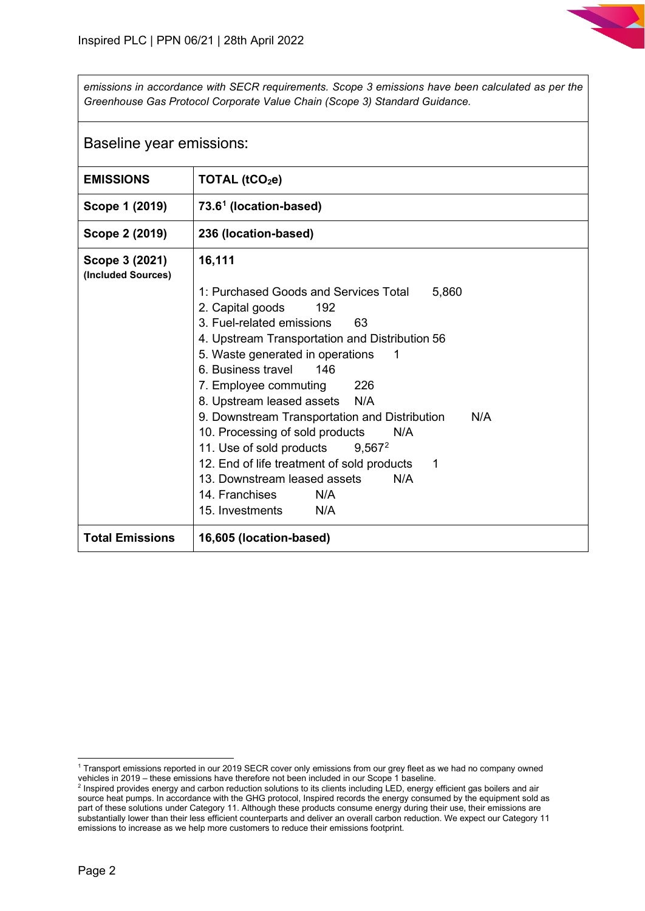*emissions in accordance with SECR requirements. Scope 3 emissions have been calculated as per the Greenhouse Gas Protocol Corporate Value Chain (Scope 3) Standard Guidance.* 

| Baseline year emissions:             |                                                                                                                                                                                                                                                                                                                                                                                                                                                                                                                                                                                |  |
|--------------------------------------|--------------------------------------------------------------------------------------------------------------------------------------------------------------------------------------------------------------------------------------------------------------------------------------------------------------------------------------------------------------------------------------------------------------------------------------------------------------------------------------------------------------------------------------------------------------------------------|--|
| <b>EMISSIONS</b>                     | TOTAL (tCO <sub>2</sub> e)                                                                                                                                                                                                                                                                                                                                                                                                                                                                                                                                                     |  |
| Scope 1 (2019)                       | 73.6 <sup>1</sup> (location-based)                                                                                                                                                                                                                                                                                                                                                                                                                                                                                                                                             |  |
| Scope 2 (2019)                       | 236 (location-based)                                                                                                                                                                                                                                                                                                                                                                                                                                                                                                                                                           |  |
| Scope 3 (2021)<br>(Included Sources) | 16,111<br>1: Purchased Goods and Services Total<br>5,860<br>2. Capital goods<br>192<br>3. Fuel-related emissions<br>63<br>4. Upstream Transportation and Distribution 56<br>5. Waste generated in operations<br>-1<br>6. Business travel<br>146<br>226<br>7. Employee commuting<br>8. Upstream leased assets N/A<br>9. Downstream Transportation and Distribution<br>N/A<br>10. Processing of sold products<br>N/A<br>11. Use of sold products<br>$9,567^2$<br>12. End of life treatment of sold products<br>1<br>13. Downstream leased assets<br>N/A<br>14. Franchises<br>N/A |  |
|                                      | 15. Investments<br>N/A                                                                                                                                                                                                                                                                                                                                                                                                                                                                                                                                                         |  |
| <b>Total Emissions</b>               | 16,605 (location-based)                                                                                                                                                                                                                                                                                                                                                                                                                                                                                                                                                        |  |

<span id="page-1-0"></span><sup>1</sup> Transport emissions reported in our 2019 SECR cover only emissions from our grey fleet as we had no company owned vehicles in 2019 – these emissions have therefore not been included in our Scope 1 baseline.

<span id="page-1-1"></span><sup>2</sup> Inspired provides energy and carbon reduction solutions to its clients including LED, energy efficient gas boilers and air source heat pumps. In accordance with the GHG protocol, Inspired records the energy consumed by the equipment sold as part of these solutions under Category 11. Although these products consume energy during their use, their emissions are substantially lower than their less efficient counterparts and deliver an overall carbon reduction. We expect our Category 11 emissions to increase as we help more customers to reduce their emissions footprint.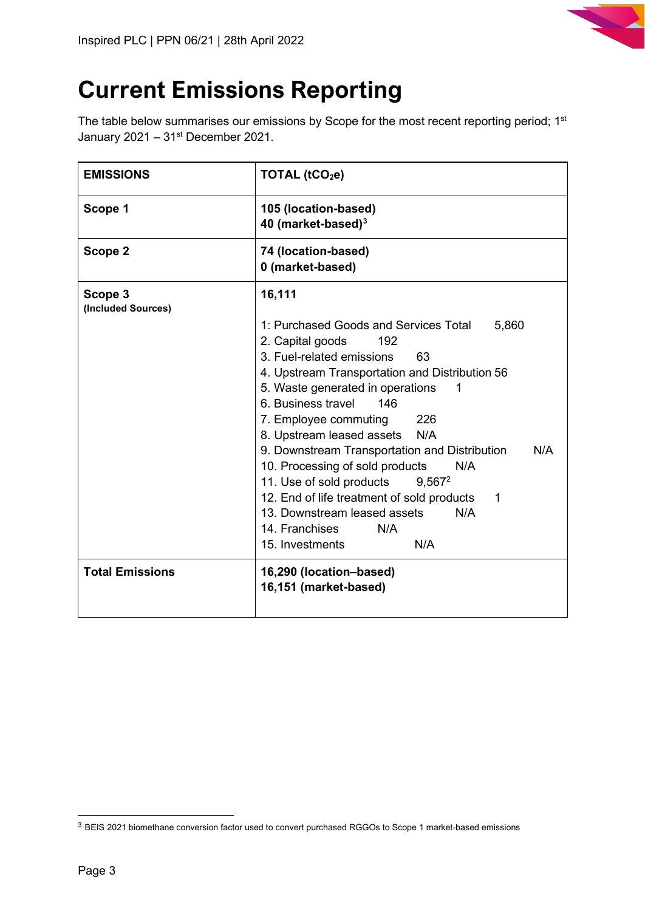

## **Current Emissions Reporting**

The table below summarises our emissions by Scope for the most recent reporting period; 1st January  $2021 - 31$ <sup>st</sup> December 2021.

| <b>EMISSIONS</b>              | TOTAL $(tCO2e)$                                                                                                                                                                                                                                                                                                                                                                                                                                                                                                                                                                                         |
|-------------------------------|---------------------------------------------------------------------------------------------------------------------------------------------------------------------------------------------------------------------------------------------------------------------------------------------------------------------------------------------------------------------------------------------------------------------------------------------------------------------------------------------------------------------------------------------------------------------------------------------------------|
| Scope 1                       | 105 (location-based)<br>40 (market-based) $3$                                                                                                                                                                                                                                                                                                                                                                                                                                                                                                                                                           |
| Scope 2                       | 74 (location-based)<br>0 (market-based)                                                                                                                                                                                                                                                                                                                                                                                                                                                                                                                                                                 |
| Scope 3<br>(Included Sources) | 16,111<br>1: Purchased Goods and Services Total<br>5,860<br>2. Capital goods<br>192<br>3. Fuel-related emissions<br>63<br>4. Upstream Transportation and Distribution 56<br>5. Waste generated in operations<br>1<br>6. Business travel<br>146<br>7. Employee commuting<br>226<br>8. Upstream leased assets N/A<br>9. Downstream Transportation and Distribution<br>N/A<br>10. Processing of sold products<br>N/A<br>11. Use of sold products<br>$9,567^2$<br>12. End of life treatment of sold products<br>1<br>13. Downstream leased assets<br>N/A<br>14. Franchises<br>N/A<br>N/A<br>15. Investments |
| <b>Total Emissions</b>        | 16,290 (location-based)<br>16,151 (market-based)                                                                                                                                                                                                                                                                                                                                                                                                                                                                                                                                                        |

<span id="page-2-0"></span><sup>3</sup> BEIS 2021 biomethane conversion factor used to convert purchased RGGOs to Scope 1 market-based emissions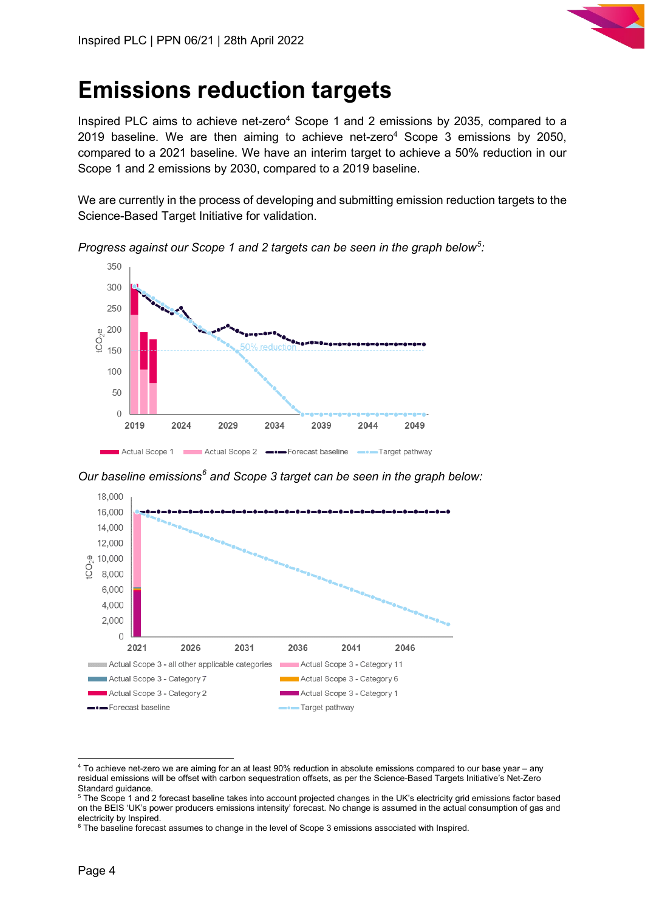

## **Emissions reduction targets**

Inspired PLC aims to achieve net-zero<sup>4</sup> Scope 1 and 2 emissions by 2035, compared to a 2019 baseline. We are then aiming to achieve net-zero<sup>4</sup> Scope 3 emissions by 2050, compared to a 2021 baseline. We have an interim target to achieve a 50% reduction in our Scope 1 and 2 emissions by 2030, compared to a 2019 baseline.

We are currently in the process of developing and submitting emission reduction targets to the Science-Based Target Initiative for validation.



*Progress against our Scope 1 and 2 targets can be seen in the graph below[5](#page-3-1) :*

*Our baseline emissions[6](#page-3-2) and Scope 3 target can be seen in the graph below:*



<span id="page-3-0"></span><sup>4</sup> To achieve net-zero we are aiming for an at least 90% reduction in absolute emissions compared to our base year – any residual emissions will be offset with carbon sequestration offsets, as per the Science-Based Targets Initiative's Net-Zero Standard guidance.<br><sup>5</sup> The Scope 1 and 2 forecast baseline takes into account projected changes in the UK's electricity grid emissions factor based

<span id="page-3-1"></span>on the BEIS 'UK's power producers emissions intensity' forecast. No change is assumed in the actual consumption of gas and electricity by Inspired.

<span id="page-3-2"></span><sup>6</sup> The baseline forecast assumes to change in the level of Scope 3 emissions associated with Inspired.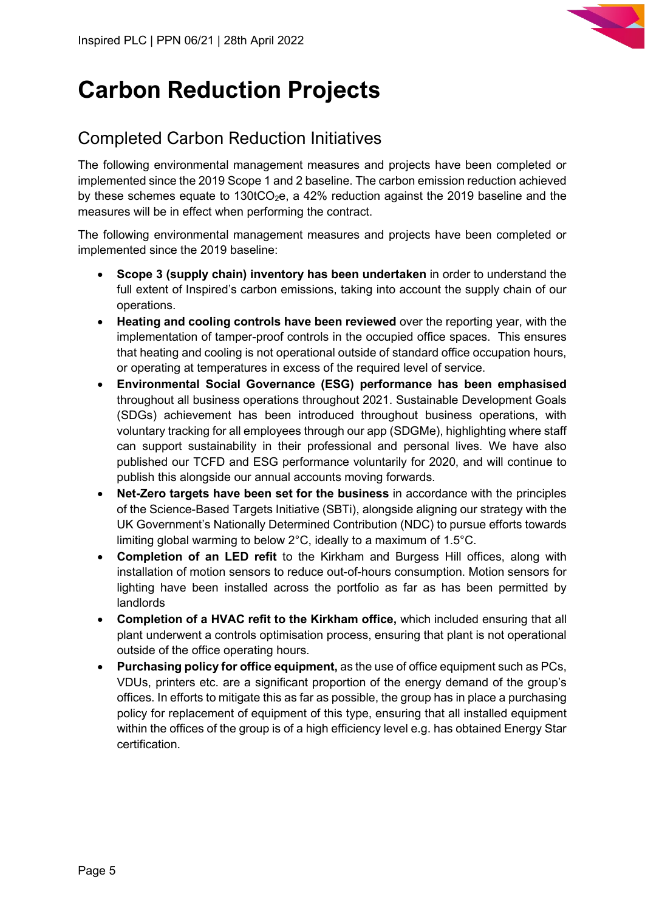

## **Carbon Reduction Projects**

## Completed Carbon Reduction Initiatives

The following environmental management measures and projects have been completed or implemented since the 2019 Scope 1 and 2 baseline. The carbon emission reduction achieved by these schemes equate to 130tCO<sub>2</sub>e, a 42% reduction against the 2019 baseline and the measures will be in effect when performing the contract.

The following environmental management measures and projects have been completed or implemented since the 2019 baseline:

- **Scope 3 (supply chain) inventory has been undertaken** in order to understand the full extent of Inspired's carbon emissions, taking into account the supply chain of our operations.
- **Heating and cooling controls have been reviewed** over the reporting year, with the implementation of tamper-proof controls in the occupied office spaces. This ensures that heating and cooling is not operational outside of standard office occupation hours, or operating at temperatures in excess of the required level of service.
- **Environmental Social Governance (ESG) performance has been emphasised** throughout all business operations throughout 2021. Sustainable Development Goals (SDGs) achievement has been introduced throughout business operations, with voluntary tracking for all employees through our app (SDGMe), highlighting where staff can support sustainability in their professional and personal lives. We have also published our TCFD and ESG performance voluntarily for 2020, and will continue to publish this alongside our annual accounts moving forwards.
- **Net-Zero targets have been set for the business** in accordance with the principles of the Science-Based Targets Initiative (SBTi), alongside aligning our strategy with the UK Government's Nationally Determined Contribution (NDC) to pursue efforts towards limiting global warming to below 2°C, ideally to a maximum of 1.5°C.
- **Completion of an LED refit** to the Kirkham and Burgess Hill offices, along with installation of motion sensors to reduce out-of-hours consumption. Motion sensors for lighting have been installed across the portfolio as far as has been permitted by landlords
- **Completion of a HVAC refit to the Kirkham office,** which included ensuring that all plant underwent a controls optimisation process, ensuring that plant is not operational outside of the office operating hours.
- **Purchasing policy for office equipment,** as the use of office equipment such as PCs, VDUs, printers etc. are a significant proportion of the energy demand of the group's offices. In efforts to mitigate this as far as possible, the group has in place a purchasing policy for replacement of equipment of this type, ensuring that all installed equipment within the offices of the group is of a high efficiency level e.g. has obtained Energy Star certification.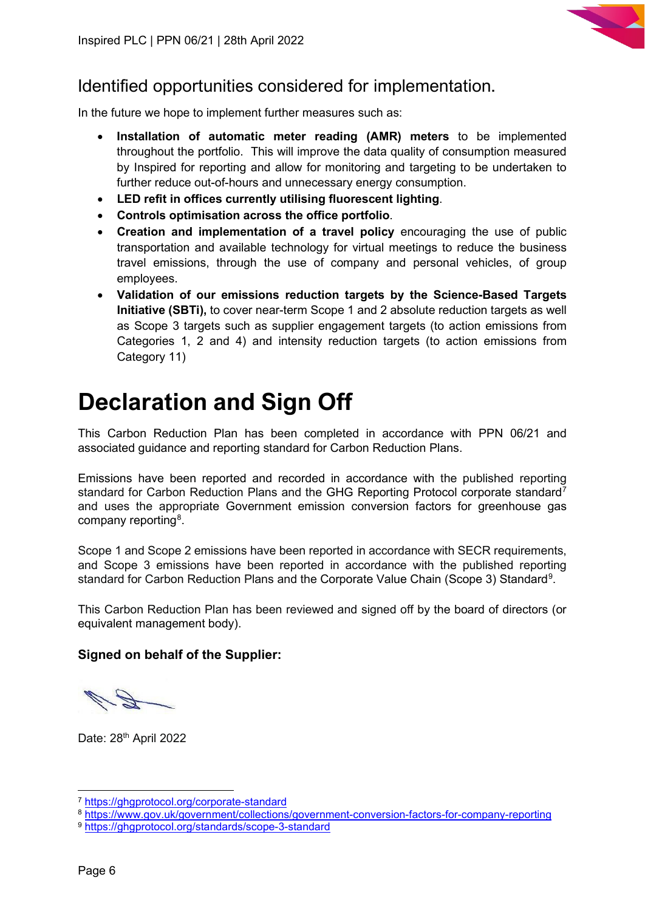

### Identified opportunities considered for implementation.

In the future we hope to implement further measures such as:

- **Installation of automatic meter reading (AMR) meters** to be implemented throughout the portfolio. This will improve the data quality of consumption measured by Inspired for reporting and allow for monitoring and targeting to be undertaken to further reduce out-of-hours and unnecessary energy consumption.
- **LED refit in offices currently utilising fluorescent lighting**.
- **Controls optimisation across the office portfolio**.
- **Creation and implementation of a travel policy** encouraging the use of public transportation and available technology for virtual meetings to reduce the business travel emissions, through the use of company and personal vehicles, of group employees.
- **Validation of our emissions reduction targets by the Science-Based Targets Initiative (SBTi),** to cover near-term Scope 1 and 2 absolute reduction targets as well as Scope 3 targets such as supplier engagement targets (to action emissions from Categories 1, 2 and 4) and intensity reduction targets (to action emissions from Category 11)

## **Declaration and Sign Off**

This Carbon Reduction Plan has been completed in accordance with PPN 06/21 and associated guidance and reporting standard for Carbon Reduction Plans.

Emissions have been reported and recorded in accordance with the published reporting standard for Carbon Reduction Plans and the GHG Reporting Protocol corporate standard<sup>[7](#page-5-0)</sup> and uses the appropriate [Government emission conversion factors for greenhouse gas](https://www.gov.uk/government/collections/government-conversion-factors-for-company-reporting)  [company reporting](https://www.gov.uk/government/collections/government-conversion-factors-for-company-reporting)<sup>[8](#page-5-1)</sup>.

Scope 1 and Scope 2 emissions have been reported in accordance with SECR requirements, and Scope 3 emissions have been reported in accordance with the published reporting standard for Carbon Reduction Plans and the Corporate Value Chain (Scope 3) Standard<sup>[9](#page-5-2)</sup>.

This Carbon Reduction Plan has been reviewed and signed off by the board of directors (or equivalent management body).

#### **Signed on behalf of the Supplier:**

Date: 28<sup>th</sup> April 2022

<span id="page-5-1"></span><span id="page-5-0"></span><sup>7</sup> https://ghgprotocol.org/corporate-standard<br><sup>8</sup> https://www.gov.uk/government/collections/government-conversion-factors-for-company-reporting<br><sup>9</sup> https://ghgprotocol.org/standards/scope-3-standard

<span id="page-5-2"></span>